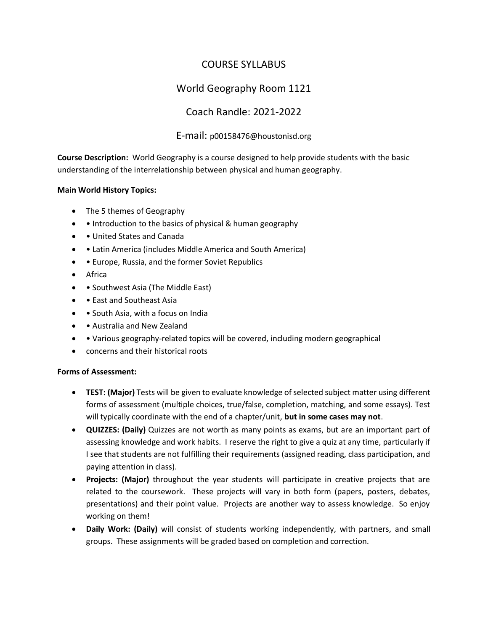# COURSE SYLLABUS

# World Geography Room 1121

# Coach Randle: 2021-2022

# E-mail: p00158476@houstonisd.org

**Course Description:** World Geography is a course designed to help provide students with the basic understanding of the interrelationship between physical and human geography.

# **Main World History Topics:**

- The 5 themes of Geography
- • Introduction to the basics of physical & human geography
- • United States and Canada
- • Latin America (includes Middle America and South America)
- • Europe, Russia, and the former Soviet Republics
- Africa
- • Southwest Asia (The Middle East)
- • East and Southeast Asia
- • South Asia, with a focus on India
- • Australia and New Zealand
- • Various geography-related topics will be covered, including modern geographical
- concerns and their historical roots

# **Forms of Assessment:**

- **TEST: (Major)** Tests will be given to evaluate knowledge of selected subject matter using different forms of assessment (multiple choices, true/false, completion, matching, and some essays). Test will typically coordinate with the end of a chapter/unit, **but in some cases may not**.
- **QUIZZES: (Daily)** Quizzes are not worth as many points as exams, but are an important part of assessing knowledge and work habits. I reserve the right to give a quiz at any time, particularly if I see that students are not fulfilling their requirements (assigned reading, class participation, and paying attention in class).
- **Projects: (Major)** throughout the year students will participate in creative projects that are related to the coursework. These projects will vary in both form (papers, posters, debates, presentations) and their point value. Projects are another way to assess knowledge. So enjoy working on them!
- **Daily Work: (Daily)** will consist of students working independently, with partners, and small groups. These assignments will be graded based on completion and correction.